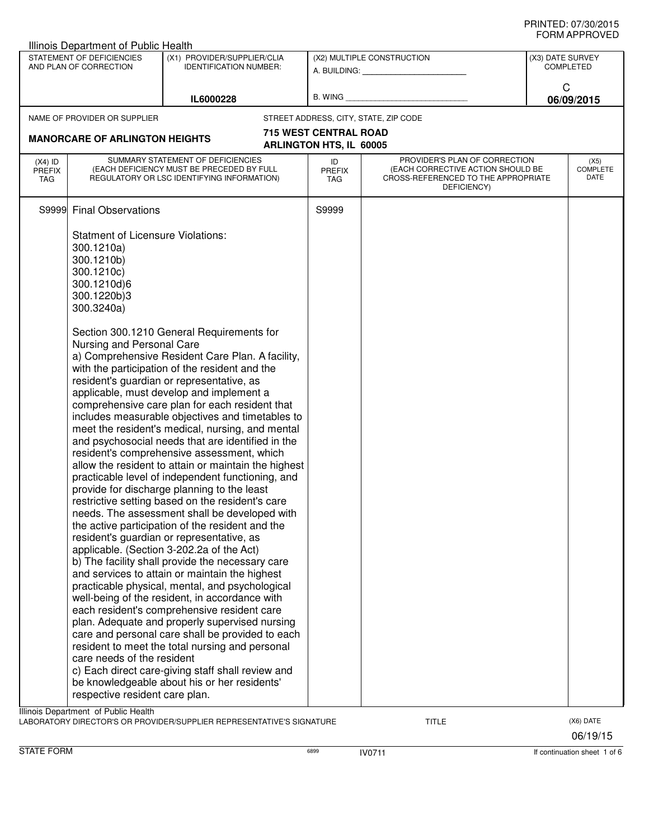| Illinois Department of Public Health                                                                                |                                                                                                                                |                                                                                                                                                                                                                                                                                                                                                                                                                                                                                                                                                                                                                                                                                                                                                                                                                                                                                                                                                                                                                                                                                                                                                                                                                                                                                                                                                                                                                                              |                                                         |                                                                                                                          |  |                                 |  |
|---------------------------------------------------------------------------------------------------------------------|--------------------------------------------------------------------------------------------------------------------------------|----------------------------------------------------------------------------------------------------------------------------------------------------------------------------------------------------------------------------------------------------------------------------------------------------------------------------------------------------------------------------------------------------------------------------------------------------------------------------------------------------------------------------------------------------------------------------------------------------------------------------------------------------------------------------------------------------------------------------------------------------------------------------------------------------------------------------------------------------------------------------------------------------------------------------------------------------------------------------------------------------------------------------------------------------------------------------------------------------------------------------------------------------------------------------------------------------------------------------------------------------------------------------------------------------------------------------------------------------------------------------------------------------------------------------------------------|---------------------------------------------------------|--------------------------------------------------------------------------------------------------------------------------|--|---------------------------------|--|
| STATEMENT OF DEFICIENCIES<br>(X1) PROVIDER/SUPPLIER/CLIA<br>AND PLAN OF CORRECTION<br><b>IDENTIFICATION NUMBER:</b> |                                                                                                                                | (X2) MULTIPLE CONSTRUCTION<br>A. BUILDING: A. BUILDING:<br>B. WING                                                                                                                                                                                                                                                                                                                                                                                                                                                                                                                                                                                                                                                                                                                                                                                                                                                                                                                                                                                                                                                                                                                                                                                                                                                                                                                                                                           |                                                         | (X3) DATE SURVEY<br><b>COMPLETED</b><br>C<br>06/09/2015                                                                  |  |                                 |  |
| IL6000228                                                                                                           |                                                                                                                                |                                                                                                                                                                                                                                                                                                                                                                                                                                                                                                                                                                                                                                                                                                                                                                                                                                                                                                                                                                                                                                                                                                                                                                                                                                                                                                                                                                                                                                              |                                                         |                                                                                                                          |  |                                 |  |
|                                                                                                                     | NAME OF PROVIDER OR SUPPLIER                                                                                                   |                                                                                                                                                                                                                                                                                                                                                                                                                                                                                                                                                                                                                                                                                                                                                                                                                                                                                                                                                                                                                                                                                                                                                                                                                                                                                                                                                                                                                                              |                                                         | STREET ADDRESS, CITY, STATE, ZIP CODE                                                                                    |  |                                 |  |
|                                                                                                                     | <b>MANORCARE OF ARLINGTON HEIGHTS</b>                                                                                          |                                                                                                                                                                                                                                                                                                                                                                                                                                                                                                                                                                                                                                                                                                                                                                                                                                                                                                                                                                                                                                                                                                                                                                                                                                                                                                                                                                                                                                              | <b>715 WEST CENTRAL ROAD</b><br>ARLINGTON HTS, IL 60005 |                                                                                                                          |  |                                 |  |
| $(X4)$ ID<br><b>PREFIX</b><br>TAG                                                                                   |                                                                                                                                | SUMMARY STATEMENT OF DEFICIENCIES<br>(EACH DEFICIENCY MUST BE PRECEDED BY FULL<br>REGULATORY OR LSC IDENTIFYING INFORMATION)                                                                                                                                                                                                                                                                                                                                                                                                                                                                                                                                                                                                                                                                                                                                                                                                                                                                                                                                                                                                                                                                                                                                                                                                                                                                                                                 | ID<br><b>PREFIX</b><br>TAG                              | PROVIDER'S PLAN OF CORRECTION<br>(EACH CORRECTIVE ACTION SHOULD BE<br>CROSS-REFERENCED TO THE APPROPRIATE<br>DEFICIENCY) |  | (X5)<br><b>COMPLETE</b><br>DATE |  |
| S9999                                                                                                               | <b>Final Observations</b>                                                                                                      |                                                                                                                                                                                                                                                                                                                                                                                                                                                                                                                                                                                                                                                                                                                                                                                                                                                                                                                                                                                                                                                                                                                                                                                                                                                                                                                                                                                                                                              | S9999                                                   |                                                                                                                          |  |                                 |  |
|                                                                                                                     | <b>Statment of Licensure Violations:</b><br>300.1210a)<br>300.1210b)<br>300.1210c)<br>300.1210d)6<br>300.1220b)3<br>300.3240a) |                                                                                                                                                                                                                                                                                                                                                                                                                                                                                                                                                                                                                                                                                                                                                                                                                                                                                                                                                                                                                                                                                                                                                                                                                                                                                                                                                                                                                                              |                                                         |                                                                                                                          |  |                                 |  |
|                                                                                                                     | Nursing and Personal Care<br>care needs of the resident<br>respective resident care plan.                                      | Section 300.1210 General Requirements for<br>a) Comprehensive Resident Care Plan. A facility,<br>with the participation of the resident and the<br>resident's guardian or representative, as<br>applicable, must develop and implement a<br>comprehensive care plan for each resident that<br>includes measurable objectives and timetables to<br>meet the resident's medical, nursing, and mental<br>and psychosocial needs that are identified in the<br>resident's comprehensive assessment, which<br>allow the resident to attain or maintain the highest<br>practicable level of independent functioning, and<br>provide for discharge planning to the least<br>restrictive setting based on the resident's care<br>needs. The assessment shall be developed with<br>the active participation of the resident and the<br>resident's guardian or representative, as<br>applicable. (Section 3-202.2a of the Act)<br>b) The facility shall provide the necessary care<br>and services to attain or maintain the highest<br>practicable physical, mental, and psychological<br>well-being of the resident, in accordance with<br>each resident's comprehensive resident care<br>plan. Adequate and properly supervised nursing<br>care and personal care shall be provided to each<br>resident to meet the total nursing and personal<br>c) Each direct care-giving staff shall review and<br>be knowledgeable about his or her residents' |                                                         |                                                                                                                          |  |                                 |  |
|                                                                                                                     | Illinois Department of Public Health                                                                                           | LABORATORY DIRECTOR'S OR PROVIDER/SUPPLIER REPRESENTATIVE'S SIGNATURE                                                                                                                                                                                                                                                                                                                                                                                                                                                                                                                                                                                                                                                                                                                                                                                                                                                                                                                                                                                                                                                                                                                                                                                                                                                                                                                                                                        |                                                         | TITLE                                                                                                                    |  | (X6) DATE<br>06/19/15           |  |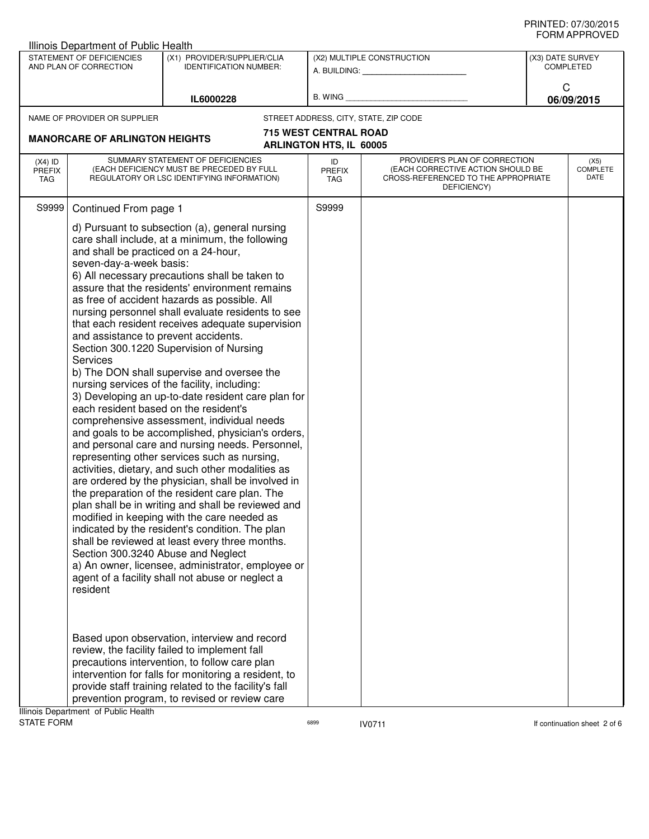## PRINTED: 07/30/2015 FORM APPROVED

|                                                     | Illinois Department of Public Health                                                                                                                                                                                  |                                                                                                                                                                                                                                                                                                                                                                                                                                                                                                                                                                                                                                                                                                                                                                                                                                                                                                                                                                                                                                                                                                                                                                                                                                                                                                                                                                                                                                                                                                                        |                                |                                                                                                                          |                                      |                                 |
|-----------------------------------------------------|-----------------------------------------------------------------------------------------------------------------------------------------------------------------------------------------------------------------------|------------------------------------------------------------------------------------------------------------------------------------------------------------------------------------------------------------------------------------------------------------------------------------------------------------------------------------------------------------------------------------------------------------------------------------------------------------------------------------------------------------------------------------------------------------------------------------------------------------------------------------------------------------------------------------------------------------------------------------------------------------------------------------------------------------------------------------------------------------------------------------------------------------------------------------------------------------------------------------------------------------------------------------------------------------------------------------------------------------------------------------------------------------------------------------------------------------------------------------------------------------------------------------------------------------------------------------------------------------------------------------------------------------------------------------------------------------------------------------------------------------------------|--------------------------------|--------------------------------------------------------------------------------------------------------------------------|--------------------------------------|---------------------------------|
| STATEMENT OF DEFICIENCIES<br>AND PLAN OF CORRECTION |                                                                                                                                                                                                                       | (X1) PROVIDER/SUPPLIER/CLIA<br><b>IDENTIFICATION NUMBER:</b>                                                                                                                                                                                                                                                                                                                                                                                                                                                                                                                                                                                                                                                                                                                                                                                                                                                                                                                                                                                                                                                                                                                                                                                                                                                                                                                                                                                                                                                           |                                | (X2) MULTIPLE CONSTRUCTION<br>A. BUILDING: A. BUILDING:                                                                  | (X3) DATE SURVEY<br><b>COMPLETED</b> |                                 |
|                                                     |                                                                                                                                                                                                                       | IL6000228                                                                                                                                                                                                                                                                                                                                                                                                                                                                                                                                                                                                                                                                                                                                                                                                                                                                                                                                                                                                                                                                                                                                                                                                                                                                                                                                                                                                                                                                                                              | B. WING                        |                                                                                                                          | C                                    | 06/09/2015                      |
|                                                     | NAME OF PROVIDER OR SUPPLIER                                                                                                                                                                                          |                                                                                                                                                                                                                                                                                                                                                                                                                                                                                                                                                                                                                                                                                                                                                                                                                                                                                                                                                                                                                                                                                                                                                                                                                                                                                                                                                                                                                                                                                                                        |                                | STREET ADDRESS, CITY, STATE, ZIP CODE                                                                                    |                                      |                                 |
|                                                     |                                                                                                                                                                                                                       |                                                                                                                                                                                                                                                                                                                                                                                                                                                                                                                                                                                                                                                                                                                                                                                                                                                                                                                                                                                                                                                                                                                                                                                                                                                                                                                                                                                                                                                                                                                        | <b>715 WEST CENTRAL ROAD</b>   |                                                                                                                          |                                      |                                 |
|                                                     | <b>MANORCARE OF ARLINGTON HEIGHTS</b>                                                                                                                                                                                 |                                                                                                                                                                                                                                                                                                                                                                                                                                                                                                                                                                                                                                                                                                                                                                                                                                                                                                                                                                                                                                                                                                                                                                                                                                                                                                                                                                                                                                                                                                                        | <b>ARLINGTON HTS, IL 60005</b> |                                                                                                                          |                                      |                                 |
| $(X4)$ ID<br><b>PREFIX</b><br><b>TAG</b>            |                                                                                                                                                                                                                       | SUMMARY STATEMENT OF DEFICIENCIES<br>(EACH DEFICIENCY MUST BE PRECEDED BY FULL<br>REGULATORY OR LSC IDENTIFYING INFORMATION)                                                                                                                                                                                                                                                                                                                                                                                                                                                                                                                                                                                                                                                                                                                                                                                                                                                                                                                                                                                                                                                                                                                                                                                                                                                                                                                                                                                           | ID<br><b>PREFIX</b><br>TAG     | PROVIDER'S PLAN OF CORRECTION<br>(EACH CORRECTIVE ACTION SHOULD BE<br>CROSS-REFERENCED TO THE APPROPRIATE<br>DEFICIENCY) |                                      | (X5)<br><b>COMPLETE</b><br>DATE |
| S9999                                               | Continued From page 1                                                                                                                                                                                                 |                                                                                                                                                                                                                                                                                                                                                                                                                                                                                                                                                                                                                                                                                                                                                                                                                                                                                                                                                                                                                                                                                                                                                                                                                                                                                                                                                                                                                                                                                                                        | S9999                          |                                                                                                                          |                                      |                                 |
|                                                     | and shall be practiced on a 24-hour,<br>seven-day-a-week basis:<br>and assistance to prevent accidents.<br><b>Services</b><br>each resident based on the resident's<br>Section 300.3240 Abuse and Neglect<br>resident | d) Pursuant to subsection (a), general nursing<br>care shall include, at a minimum, the following<br>6) All necessary precautions shall be taken to<br>assure that the residents' environment remains<br>as free of accident hazards as possible. All<br>nursing personnel shall evaluate residents to see<br>that each resident receives adequate supervision<br>Section 300.1220 Supervision of Nursing<br>b) The DON shall supervise and oversee the<br>nursing services of the facility, including:<br>3) Developing an up-to-date resident care plan for<br>comprehensive assessment, individual needs<br>and goals to be accomplished, physician's orders,<br>and personal care and nursing needs. Personnel,<br>representing other services such as nursing,<br>activities, dietary, and such other modalities as<br>are ordered by the physician, shall be involved in<br>the preparation of the resident care plan. The<br>plan shall be in writing and shall be reviewed and<br>modified in keeping with the care needed as<br>indicated by the resident's condition. The plan<br>shall be reviewed at least every three months.<br>a) An owner, licensee, administrator, employee or<br>agent of a facility shall not abuse or neglect a<br>Based upon observation, interview and record<br>review, the facility failed to implement fall<br>precautions intervention, to follow care plan<br>intervention for falls for monitoring a resident, to<br>provide staff training related to the facility's fall |                                |                                                                                                                          |                                      |                                 |
|                                                     | Illinois Department of Public Health                                                                                                                                                                                  | prevention program, to revised or review care                                                                                                                                                                                                                                                                                                                                                                                                                                                                                                                                                                                                                                                                                                                                                                                                                                                                                                                                                                                                                                                                                                                                                                                                                                                                                                                                                                                                                                                                          |                                |                                                                                                                          |                                      |                                 |
| <b>STATE FORM</b>                                   |                                                                                                                                                                                                                       |                                                                                                                                                                                                                                                                                                                                                                                                                                                                                                                                                                                                                                                                                                                                                                                                                                                                                                                                                                                                                                                                                                                                                                                                                                                                                                                                                                                                                                                                                                                        | 6899                           | <b>IV0711</b>                                                                                                            |                                      | If continuation sheet 2 of 6    |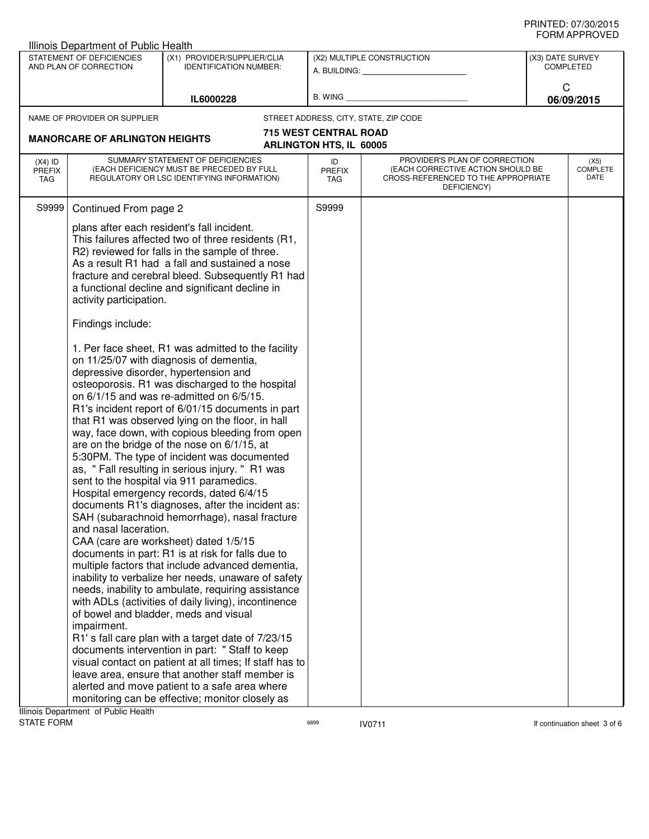|                                                                                      | Illinois Department of Public Health                                                                                                                                                                                                                                                                                                                                                                                                                                                                                                                                                                                                                                                                                                                                                                                                                                                                                                                                                                                                                                                                                                                                                                                                                                                                                                                                                                                                                                                                  |                                                                                                                              |                                |                                                                                                                          |                                      |                                 |
|--------------------------------------------------------------------------------------|-------------------------------------------------------------------------------------------------------------------------------------------------------------------------------------------------------------------------------------------------------------------------------------------------------------------------------------------------------------------------------------------------------------------------------------------------------------------------------------------------------------------------------------------------------------------------------------------------------------------------------------------------------------------------------------------------------------------------------------------------------------------------------------------------------------------------------------------------------------------------------------------------------------------------------------------------------------------------------------------------------------------------------------------------------------------------------------------------------------------------------------------------------------------------------------------------------------------------------------------------------------------------------------------------------------------------------------------------------------------------------------------------------------------------------------------------------------------------------------------------------|------------------------------------------------------------------------------------------------------------------------------|--------------------------------|--------------------------------------------------------------------------------------------------------------------------|--------------------------------------|---------------------------------|
| STATEMENT OF DEFICIENCIES<br>AND PLAN OF CORRECTION<br><b>IDENTIFICATION NUMBER:</b> |                                                                                                                                                                                                                                                                                                                                                                                                                                                                                                                                                                                                                                                                                                                                                                                                                                                                                                                                                                                                                                                                                                                                                                                                                                                                                                                                                                                                                                                                                                       | (X1) PROVIDER/SUPPLIER/CLIA                                                                                                  |                                | (X2) MULTIPLE CONSTRUCTION<br>A. BUILDING: A.                                                                            | (X3) DATE SURVEY<br><b>COMPLETED</b> |                                 |
|                                                                                      |                                                                                                                                                                                                                                                                                                                                                                                                                                                                                                                                                                                                                                                                                                                                                                                                                                                                                                                                                                                                                                                                                                                                                                                                                                                                                                                                                                                                                                                                                                       | IL6000228                                                                                                                    | B. WING                        |                                                                                                                          | C                                    | 06/09/2015                      |
|                                                                                      | NAME OF PROVIDER OR SUPPLIER                                                                                                                                                                                                                                                                                                                                                                                                                                                                                                                                                                                                                                                                                                                                                                                                                                                                                                                                                                                                                                                                                                                                                                                                                                                                                                                                                                                                                                                                          |                                                                                                                              |                                | STREET ADDRESS, CITY, STATE, ZIP CODE                                                                                    |                                      |                                 |
|                                                                                      |                                                                                                                                                                                                                                                                                                                                                                                                                                                                                                                                                                                                                                                                                                                                                                                                                                                                                                                                                                                                                                                                                                                                                                                                                                                                                                                                                                                                                                                                                                       |                                                                                                                              | <b>715 WEST CENTRAL ROAD</b>   |                                                                                                                          |                                      |                                 |
|                                                                                      | <b>MANORCARE OF ARLINGTON HEIGHTS</b>                                                                                                                                                                                                                                                                                                                                                                                                                                                                                                                                                                                                                                                                                                                                                                                                                                                                                                                                                                                                                                                                                                                                                                                                                                                                                                                                                                                                                                                                 |                                                                                                                              | <b>ARLINGTON HTS, IL 60005</b> |                                                                                                                          |                                      |                                 |
| $(X4)$ ID<br><b>PREFIX</b><br>TAG                                                    |                                                                                                                                                                                                                                                                                                                                                                                                                                                                                                                                                                                                                                                                                                                                                                                                                                                                                                                                                                                                                                                                                                                                                                                                                                                                                                                                                                                                                                                                                                       | SUMMARY STATEMENT OF DEFICIENCIES<br>(EACH DEFICIENCY MUST BE PRECEDED BY FULL<br>REGULATORY OR LSC IDENTIFYING INFORMATION) | ID<br>PREFIX<br><b>TAG</b>     | PROVIDER'S PLAN OF CORRECTION<br>(EACH CORRECTIVE ACTION SHOULD BE<br>CROSS-REFERENCED TO THE APPROPRIATE<br>DEFICIENCY) |                                      | (X5)<br><b>COMPLETE</b><br>DATE |
| S9999                                                                                | Continued From page 2                                                                                                                                                                                                                                                                                                                                                                                                                                                                                                                                                                                                                                                                                                                                                                                                                                                                                                                                                                                                                                                                                                                                                                                                                                                                                                                                                                                                                                                                                 |                                                                                                                              | S9999                          |                                                                                                                          |                                      |                                 |
|                                                                                      | plans after each resident's fall incident.<br>This failures affected two of three residents (R1,<br>R2) reviewed for falls in the sample of three.<br>As a result R1 had a fall and sustained a nose<br>fracture and cerebral bleed. Subsequently R1 had<br>a functional decline and significant decline in<br>activity participation.                                                                                                                                                                                                                                                                                                                                                                                                                                                                                                                                                                                                                                                                                                                                                                                                                                                                                                                                                                                                                                                                                                                                                                |                                                                                                                              |                                |                                                                                                                          |                                      |                                 |
|                                                                                      | Findings include:<br>1. Per face sheet, R1 was admitted to the facility<br>on 11/25/07 with diagnosis of dementia,<br>depressive disorder, hypertension and<br>osteoporosis. R1 was discharged to the hospital<br>on 6/1/15 and was re-admitted on 6/5/15.<br>R1's incident report of 6/01/15 documents in part<br>that R1 was observed lying on the floor, in hall<br>way, face down, with copious bleeding from open<br>are on the bridge of the nose on 6/1/15, at<br>5:30PM. The type of incident was documented<br>as, "Fall resulting in serious injury. " R1 was<br>sent to the hospital via 911 paramedics.<br>Hospital emergency records, dated 6/4/15<br>documents R1's diagnoses, after the incident as:<br>SAH (subarachnoid hemorrhage), nasal fracture<br>and nasal laceration.<br>CAA (care are worksheet) dated 1/5/15<br>documents in part: R1 is at risk for falls due to<br>multiple factors that include advanced dementia,<br>inability to verbalize her needs, unaware of safety<br>needs, inability to ambulate, requiring assistance<br>with ADLs (activities of daily living), incontinence<br>of bowel and bladder, meds and visual<br>impairment.<br>R1's fall care plan with a target date of 7/23/15<br>documents intervention in part: "Staff to keep<br>visual contact on patient at all times; If staff has to<br>leave area, ensure that another staff member is<br>alerted and move patient to a safe area where<br>monitoring can be effective; monitor closely as |                                                                                                                              |                                |                                                                                                                          |                                      |                                 |
| STATE FORM                                                                           | Illinois Department of Public Health                                                                                                                                                                                                                                                                                                                                                                                                                                                                                                                                                                                                                                                                                                                                                                                                                                                                                                                                                                                                                                                                                                                                                                                                                                                                                                                                                                                                                                                                  |                                                                                                                              | 6899                           | <b>IV0711</b>                                                                                                            |                                      | If continuation sheet 3 of 6    |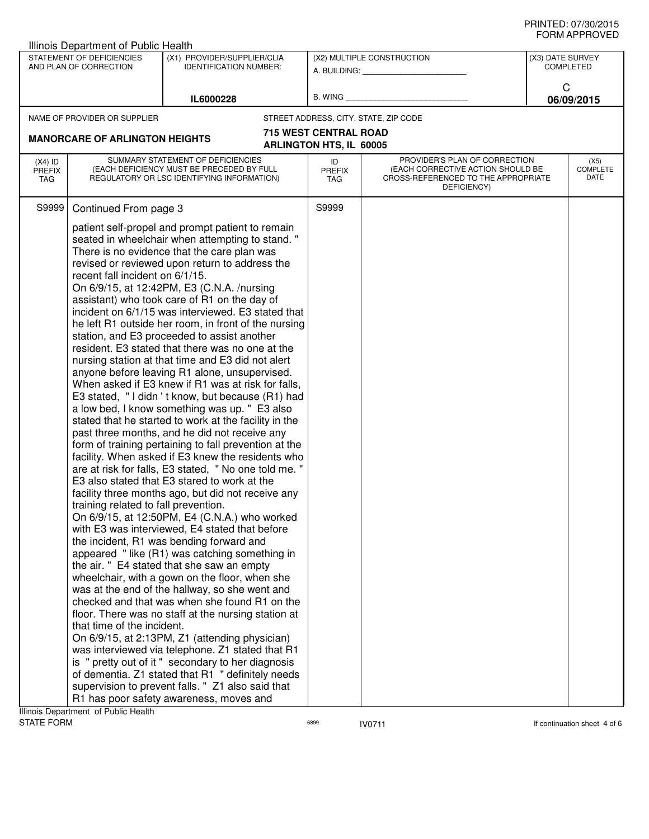## PRINTED: 07/30/2015 FORM APPROVED

|                                                                                                                                                                                                                                                                                                                                                                                                                                                                                                                                                                                                                                                                                                                                                                                                                                                                                                                                                                                                                                                                                                                                                                                                                                      | <b>Illinois Department of Public Health</b>         |                                                                                                                                                                                                                                                                                                                                                                                                                                                                                                                                                                                                                                                                                                                                                                                                                                              |                                |                                                                                                                          |                              |                                 |
|--------------------------------------------------------------------------------------------------------------------------------------------------------------------------------------------------------------------------------------------------------------------------------------------------------------------------------------------------------------------------------------------------------------------------------------------------------------------------------------------------------------------------------------------------------------------------------------------------------------------------------------------------------------------------------------------------------------------------------------------------------------------------------------------------------------------------------------------------------------------------------------------------------------------------------------------------------------------------------------------------------------------------------------------------------------------------------------------------------------------------------------------------------------------------------------------------------------------------------------|-----------------------------------------------------|----------------------------------------------------------------------------------------------------------------------------------------------------------------------------------------------------------------------------------------------------------------------------------------------------------------------------------------------------------------------------------------------------------------------------------------------------------------------------------------------------------------------------------------------------------------------------------------------------------------------------------------------------------------------------------------------------------------------------------------------------------------------------------------------------------------------------------------------|--------------------------------|--------------------------------------------------------------------------------------------------------------------------|------------------------------|---------------------------------|
|                                                                                                                                                                                                                                                                                                                                                                                                                                                                                                                                                                                                                                                                                                                                                                                                                                                                                                                                                                                                                                                                                                                                                                                                                                      | STATEMENT OF DEFICIENCIES<br>AND PLAN OF CORRECTION | (X1) PROVIDER/SUPPLIER/CLIA<br><b>IDENTIFICATION NUMBER:</b>                                                                                                                                                                                                                                                                                                                                                                                                                                                                                                                                                                                                                                                                                                                                                                                 |                                | (X2) MULTIPLE CONSTRUCTION<br>A. BUILDING: A. BUILDING:                                                                  | (X3) DATE SURVEY             | <b>COMPLETED</b>                |
|                                                                                                                                                                                                                                                                                                                                                                                                                                                                                                                                                                                                                                                                                                                                                                                                                                                                                                                                                                                                                                                                                                                                                                                                                                      |                                                     | IL6000228                                                                                                                                                                                                                                                                                                                                                                                                                                                                                                                                                                                                                                                                                                                                                                                                                                    | B. WING                        |                                                                                                                          | C                            | 06/09/2015                      |
|                                                                                                                                                                                                                                                                                                                                                                                                                                                                                                                                                                                                                                                                                                                                                                                                                                                                                                                                                                                                                                                                                                                                                                                                                                      | NAME OF PROVIDER OR SUPPLIER                        |                                                                                                                                                                                                                                                                                                                                                                                                                                                                                                                                                                                                                                                                                                                                                                                                                                              |                                | STREET ADDRESS, CITY, STATE, ZIP CODE                                                                                    |                              |                                 |
|                                                                                                                                                                                                                                                                                                                                                                                                                                                                                                                                                                                                                                                                                                                                                                                                                                                                                                                                                                                                                                                                                                                                                                                                                                      |                                                     |                                                                                                                                                                                                                                                                                                                                                                                                                                                                                                                                                                                                                                                                                                                                                                                                                                              | <b>715 WEST CENTRAL ROAD</b>   |                                                                                                                          |                              |                                 |
|                                                                                                                                                                                                                                                                                                                                                                                                                                                                                                                                                                                                                                                                                                                                                                                                                                                                                                                                                                                                                                                                                                                                                                                                                                      | <b>MANORCARE OF ARLINGTON HEIGHTS</b>               |                                                                                                                                                                                                                                                                                                                                                                                                                                                                                                                                                                                                                                                                                                                                                                                                                                              | <b>ARLINGTON HTS, IL 60005</b> |                                                                                                                          |                              |                                 |
| $(X4)$ ID<br><b>PREFIX</b><br><b>TAG</b>                                                                                                                                                                                                                                                                                                                                                                                                                                                                                                                                                                                                                                                                                                                                                                                                                                                                                                                                                                                                                                                                                                                                                                                             |                                                     | SUMMARY STATEMENT OF DEFICIENCIES<br>(EACH DEFICIENCY MUST BE PRECEDED BY FULL<br>REGULATORY OR LSC IDENTIFYING INFORMATION)                                                                                                                                                                                                                                                                                                                                                                                                                                                                                                                                                                                                                                                                                                                 | ID<br><b>PREFIX</b><br>TAG     | PROVIDER'S PLAN OF CORRECTION<br>(EACH CORRECTIVE ACTION SHOULD BE<br>CROSS-REFERENCED TO THE APPROPRIATE<br>DEFICIENCY) |                              | (X5)<br><b>COMPLETE</b><br>DATE |
|                                                                                                                                                                                                                                                                                                                                                                                                                                                                                                                                                                                                                                                                                                                                                                                                                                                                                                                                                                                                                                                                                                                                                                                                                                      | recent fall incident on 6/1/15.                     | patient self-propel and prompt patient to remain<br>seated in wheelchair when attempting to stand."<br>There is no evidence that the care plan was<br>revised or reviewed upon return to address the<br>On 6/9/15, at 12:42PM, E3 (C.N.A. /nursing<br>assistant) who took care of R1 on the day of<br>incident on 6/1/15 was interviewed. E3 stated that<br>he left R1 outside her room, in front of the nursing<br>station, and E3 proceeded to assist another<br>resident. E3 stated that there was no one at the<br>nursing station at that time and E3 did not alert<br>anyone before leaving R1 alone, unsupervised.<br>When asked if E3 knew if R1 was at risk for falls,<br>E3 stated, "I didn't know, but because (R1) had<br>a low bed, I know something was up. " E3 also<br>stated that he started to work at the facility in the |                                |                                                                                                                          |                              |                                 |
| past three months, and he did not receive any<br>form of training pertaining to fall prevention at the<br>facility. When asked if E3 knew the residents who<br>are at risk for falls, E3 stated, "No one told me."<br>E3 also stated that E3 stared to work at the<br>facility three months ago, but did not receive any<br>training related to fall prevention.<br>On 6/9/15, at 12:50PM, E4 (C.N.A.) who worked<br>with E3 was interviewed, E4 stated that before<br>the incident, R1 was bending forward and<br>appeared "like (R1) was catching something in<br>the air. " E4 stated that she saw an empty<br>wheelchair, with a gown on the floor, when she<br>was at the end of the hallway, so she went and<br>checked and that was when she found R1 on the<br>floor. There was no staff at the nursing station at<br>that time of the incident.<br>On 6/9/15, at 2:13PM, Z1 (attending physician)<br>was interviewed via telephone. Z1 stated that R1<br>is "pretty out of it" secondary to her diagnosis<br>of dementia. Z1 stated that R1 " definitely needs<br>supervision to prevent falls. " Z1 also said that<br>R1 has poor safety awareness, moves and<br>Illinois Department of Public Health<br><b>STATE FORM</b> |                                                     | 6899                                                                                                                                                                                                                                                                                                                                                                                                                                                                                                                                                                                                                                                                                                                                                                                                                                         | <b>IV0711</b>                  |                                                                                                                          | If continuation sheet 4 of 6 |                                 |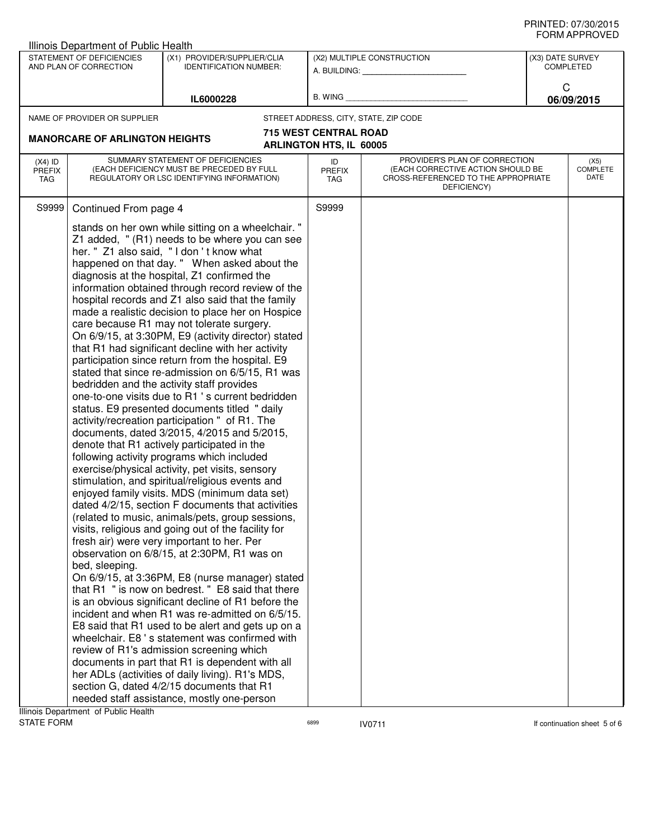## PRINTED: 07/30/2015 FORM APPROVED

|                                                                                                                     | <b>Illinois Department of Public Health</b>                                                                                                                                                                                                                                                                                                                                                                                                                                                                                                                                                                                                                                                                                                                                                                                                                                                                                                                                                                                                                                                                                                                                                                                                                                                                                                                                                                                                                                                                                                                                                                                                                                                                                                                                                                                                                                                                                                                                                                                                                                                                                                                                                                                                                                |           |                                               |                                                                                                                          |   |                                 |
|---------------------------------------------------------------------------------------------------------------------|----------------------------------------------------------------------------------------------------------------------------------------------------------------------------------------------------------------------------------------------------------------------------------------------------------------------------------------------------------------------------------------------------------------------------------------------------------------------------------------------------------------------------------------------------------------------------------------------------------------------------------------------------------------------------------------------------------------------------------------------------------------------------------------------------------------------------------------------------------------------------------------------------------------------------------------------------------------------------------------------------------------------------------------------------------------------------------------------------------------------------------------------------------------------------------------------------------------------------------------------------------------------------------------------------------------------------------------------------------------------------------------------------------------------------------------------------------------------------------------------------------------------------------------------------------------------------------------------------------------------------------------------------------------------------------------------------------------------------------------------------------------------------------------------------------------------------------------------------------------------------------------------------------------------------------------------------------------------------------------------------------------------------------------------------------------------------------------------------------------------------------------------------------------------------------------------------------------------------------------------------------------------------|-----------|-----------------------------------------------|--------------------------------------------------------------------------------------------------------------------------|---|---------------------------------|
| STATEMENT OF DEFICIENCIES<br>(X1) PROVIDER/SUPPLIER/CLIA<br>AND PLAN OF CORRECTION<br><b>IDENTIFICATION NUMBER:</b> |                                                                                                                                                                                                                                                                                                                                                                                                                                                                                                                                                                                                                                                                                                                                                                                                                                                                                                                                                                                                                                                                                                                                                                                                                                                                                                                                                                                                                                                                                                                                                                                                                                                                                                                                                                                                                                                                                                                                                                                                                                                                                                                                                                                                                                                                            |           | (X2) MULTIPLE CONSTRUCTION<br>A. BUILDING: A. | (X3) DATE SURVEY<br><b>COMPLETED</b>                                                                                     |   |                                 |
|                                                                                                                     |                                                                                                                                                                                                                                                                                                                                                                                                                                                                                                                                                                                                                                                                                                                                                                                                                                                                                                                                                                                                                                                                                                                                                                                                                                                                                                                                                                                                                                                                                                                                                                                                                                                                                                                                                                                                                                                                                                                                                                                                                                                                                                                                                                                                                                                                            | IL6000228 | B. WING_                                      |                                                                                                                          | C | 06/09/2015                      |
|                                                                                                                     |                                                                                                                                                                                                                                                                                                                                                                                                                                                                                                                                                                                                                                                                                                                                                                                                                                                                                                                                                                                                                                                                                                                                                                                                                                                                                                                                                                                                                                                                                                                                                                                                                                                                                                                                                                                                                                                                                                                                                                                                                                                                                                                                                                                                                                                                            |           | STREET ADDRESS, CITY, STATE, ZIP CODE         |                                                                                                                          |   |                                 |
|                                                                                                                     |                                                                                                                                                                                                                                                                                                                                                                                                                                                                                                                                                                                                                                                                                                                                                                                                                                                                                                                                                                                                                                                                                                                                                                                                                                                                                                                                                                                                                                                                                                                                                                                                                                                                                                                                                                                                                                                                                                                                                                                                                                                                                                                                                                                                                                                                            |           | <b>715 WEST CENTRAL ROAD</b>                  |                                                                                                                          |   |                                 |
|                                                                                                                     |                                                                                                                                                                                                                                                                                                                                                                                                                                                                                                                                                                                                                                                                                                                                                                                                                                                                                                                                                                                                                                                                                                                                                                                                                                                                                                                                                                                                                                                                                                                                                                                                                                                                                                                                                                                                                                                                                                                                                                                                                                                                                                                                                                                                                                                                            |           | <b>ARLINGTON HTS, IL 60005</b>                |                                                                                                                          |   |                                 |
| $(X4)$ ID<br><b>PREFIX</b><br>TAG                                                                                   |                                                                                                                                                                                                                                                                                                                                                                                                                                                                                                                                                                                                                                                                                                                                                                                                                                                                                                                                                                                                                                                                                                                                                                                                                                                                                                                                                                                                                                                                                                                                                                                                                                                                                                                                                                                                                                                                                                                                                                                                                                                                                                                                                                                                                                                                            |           | ID<br><b>PREFIX</b><br>TAG                    | PROVIDER'S PLAN OF CORRECTION<br>(EACH CORRECTIVE ACTION SHOULD BE<br>CROSS-REFERENCED TO THE APPROPRIATE<br>DEFICIENCY) |   | (X5)<br><b>COMPLETE</b><br>DATE |
| S9999                                                                                                               |                                                                                                                                                                                                                                                                                                                                                                                                                                                                                                                                                                                                                                                                                                                                                                                                                                                                                                                                                                                                                                                                                                                                                                                                                                                                                                                                                                                                                                                                                                                                                                                                                                                                                                                                                                                                                                                                                                                                                                                                                                                                                                                                                                                                                                                                            |           | S9999                                         |                                                                                                                          |   |                                 |
|                                                                                                                     | NAME OF PROVIDER OR SUPPLIER<br><b>MANORCARE OF ARLINGTON HEIGHTS</b><br>SUMMARY STATEMENT OF DEFICIENCIES<br>(EACH DEFICIENCY MUST BE PRECEDED BY FULL<br>REGULATORY OR LSC IDENTIFYING INFORMATION)<br>Continued From page 4<br>stands on her own while sitting on a wheelchair. "<br>Z1 added, " (R1) needs to be where you can see<br>her. " Z1 also said, "I don't know what<br>happened on that day. " When asked about the<br>diagnosis at the hospital, Z1 confirmed the<br>information obtained through record review of the<br>hospital records and Z1 also said that the family<br>made a realistic decision to place her on Hospice<br>care because R1 may not tolerate surgery.<br>On 6/9/15, at 3:30PM, E9 (activity director) stated<br>that R1 had significant decline with her activity<br>participation since return from the hospital. E9<br>stated that since re-admission on 6/5/15, R1 was<br>bedridden and the activity staff provides<br>one-to-one visits due to R1 's current bedridden<br>status. E9 presented documents titled "daily<br>activity/recreation participation " of R1. The<br>documents, dated 3/2015, 4/2015 and 5/2015,<br>denote that R1 actively participated in the<br>following activity programs which included<br>exercise/physical activity, pet visits, sensory<br>stimulation, and spiritual/religious events and<br>enjoyed family visits. MDS (minimum data set)<br>dated 4/2/15, section F documents that activities<br>(related to music, animals/pets, group sessions,<br>visits, religious and going out of the facility for<br>fresh air) were very important to her. Per<br>observation on 6/8/15, at 2:30PM, R1 was on<br>bed, sleeping.<br>On 6/9/15, at 3:36PM, E8 (nurse manager) stated<br>that R1 " is now on bedrest. " E8 said that there<br>is an obvious significant decline of R1 before the<br>incident and when R1 was re-admitted on 6/5/15.<br>E8 said that R1 used to be alert and gets up on a<br>wheelchair. E8's statement was confirmed with<br>review of R1's admission screening which<br>documents in part that R1 is dependent with all<br>her ADLs (activities of daily living). R1's MDS,<br>section G, dated 4/2/15 documents that R1<br>needed staff assistance, mostly one-person |           |                                               |                                                                                                                          |   |                                 |

ERSP **IV0711** IV0711 **If continuation sheet 5 of 6**